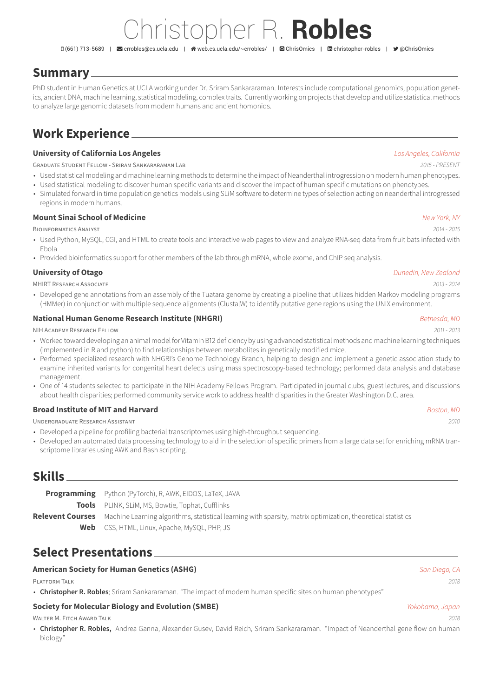# Christopher R. **Robles**

(661) 713-5689 | [crrobles@cs.ucla.edu](mailto:crrobles@cs.ucla.edu) | [web.cs.ucla.edu/~crrobles/](http://web.cs.ucla.edu/~crrobles/) | [ChrisOmics](https://github.com/ChrisOmics) | [christopher-robles](https://www.linkedin.com/in/christopher-robles) | [@ChrisOmics](https://twitter.com/@ChrisOmics)

## **Summary**

PhD student in Human Genetics at UCLA working under Dr. Sriram Sankararaman. Interests include computational genomics, population genetics, ancient DNA, machine learning, statistical modeling, complex traits. Currently working on projects that develop and utilize statistical methods to analyze large genomic datasets from modern humans and ancient homonids.

## **Work Experience**

### **University of California Los Angeles** *Los Angeles, California*

GRADUATE STUDENT FELLOW - SRIRAM SANKARARAMAN LAB *2015 - PRESENT*

- Used statistical modeling and machine learning methods to determine the impact of Neanderthal introgression on modern human phenotypes.
- Used statistical modeling to discover human specific variants and discover the impact of human specific mutations on phenotypes.
- Simulated forward in time population genetics models using SLiM software to determine types of selection acting on neanderthal introgressed regions in modern humans.

### **Mount Sinai School of Medicine** *New York, NY*

BIOINFORMATICS ANALYST *2014 - 2015*

- Used Python, MySQL, CGI, and HTML to create tools and interactive web pages to view and analyze RNA-seq data from fruit bats infected with Ebola
- Provided bioinformatics support for other members of the lab through mRNA, whole exome, and ChIP seq analysis.

### **University of Otago** *Dunedin, New Zealand*

MHIRT RESEARCH ASSOCIATE *2013 - 2014*

• Developed gene annotations from an assembly of the Tuatara genome by creating a pipeline that utilizes hidden Markov modeling programs (HMMer) in conjunction with multiple sequence alignments (ClustalW) to identify putative gene regions using the UNIX environment.

### **National Human Genome Research Institute (NHGRI)** *Bethesda, MD*

NIH ACADEMY RESEARCH FELLOW *2011 - 2013*

- Worked toward developing an animal model for Vitamin B12 deficiency by using advanced statistical methods and machine learning techniques (implemented in R and python) to find relationships between metabolites in genetically modified mice.
- Performed specialized research with NHGRI's Genome Technology Branch, helping to design and implement a genetic association study to examine inherited variants for congenital heart defects using mass spectroscopy-based technology; performed data analysis and database management.
- One of 14 students selected to participate in the NIH Academy Fellows Program. Participated in journal clubs, guest lectures, and discussions about health disparities; performed community service work to address health disparities in the Greater Washington D.C. area.

### **Broad Institute of MIT and Harvard** *Boston, MD*

UNDERGRADUATE RESEARCH ASSISTANT *2010*

- Developed a pipeline for profiling bacterial transcriptomes using high-throughput sequencing.
- Developed an automated data processing technology to aid in the selection of specific primers from a large data set for enriching mRNA transcriptome libraries using AWK and Bash scripting.

## **Skills**

| <b>Programming</b> Python (PyTorch), R, AWK, EIDOS, LaTeX, JAVA                                                               |  |
|-------------------------------------------------------------------------------------------------------------------------------|--|
| <b>Tools</b> PLINK, SLIM, MS, Bowtie, Tophat, Cufflinks                                                                       |  |
| Relevent Courses Machine Learning algorithms, statistical learning with sparsity, matrix optimization, theoretical statistics |  |
| <b>Web</b> CSS, HTML, Linux, Apache, MySQL, PHP, JS                                                                           |  |
|                                                                                                                               |  |

## **Select Presentations**

### **American Society for Human Genetics (ASHG)** *San Diego, CA*

PLATFORM TALK *2018*

• **Christopher R. Robles**; Sriram Sankararaman. "The impact of modern human specific sites on human phenotypes"

### **Society for Molecular Biology and Evolution (SMBE)** *Yokohama, Japan*

WALTER M. FITCH AWARD TALK *2018*

• **Christopher R. Robles,** Andrea Ganna, Alexander Gusev, David Reich, Sriram Sankararaman. "Impact of Neanderthal gene flow on human biology"